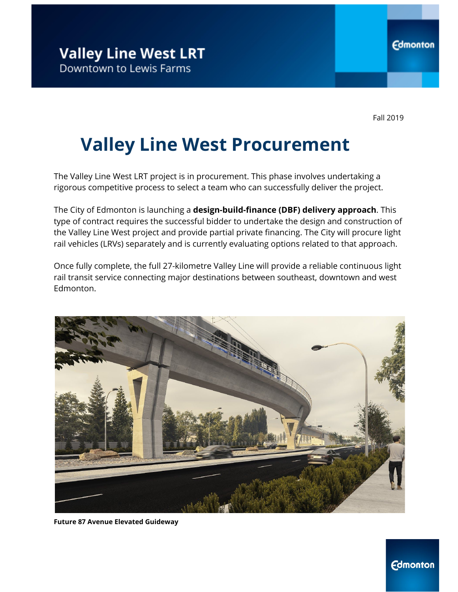Fall 2019

# **Valley Line West Procurement**

The Valley Line West LRT project is in procurement. This phase involves undertaking a rigorous competitive process to select a team who can successfully deliver the project.

The City of Edmonton is launching a **design-build-finance (DBF) delivery approach**. This type of contract requires the successful bidder to undertake the design and construction of the Valley Line West project and provide partial private financing. The City will procure light rail vehicles (LRVs) separately and is currently evaluating options related to that approach.

Once fully complete, the full 27-kilometre Valley Line will provide a reliable continuous light rail transit service connecting major destinations between southeast, downtown and west Edmonton.



**Future 87 Avenue Elevated Guideway**